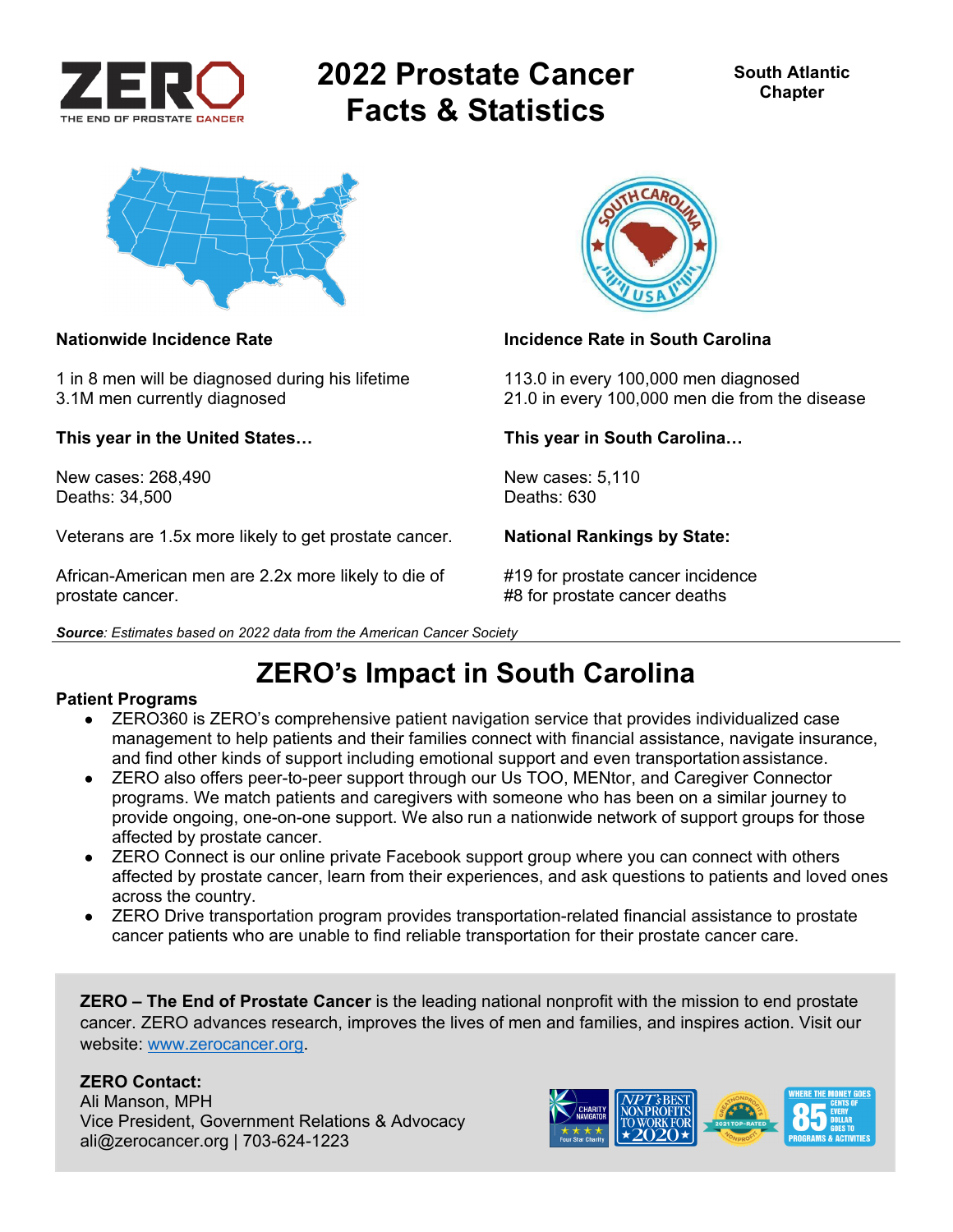

# **2022 Prostate Cancer Facts & Statistics**



1 in 8 men will be diagnosed during his lifetime 113.0 in every 100,000 men diagnosed

**This year in the United States… This year in South Carolina…** 

New cases: 268.490 **New cases: 5,110** Deaths: 34,500 Deaths: 630

Veterans are 1.5x more likely to get prostate cancer. **National Rankings by State:** 

African-American men are 2.2x more likely to die of #19 for prostate cancer incidence prostate cancer. **A constant of the set of the set of the set of the set of the set of the set of the set of the set of the set of the set of the set of the set of the set of the set of the set of the set of the set of the** 



### **Nationwide Incidence Rate Incidence Rate in South Carolina**

3.1M men currently diagnosed 21.0 in every 100,000 men die from the disease

## **ZERO's Impact in South Carolina**

### **Patient Programs**

- ZERO360 is ZERO's comprehensive patient navigation service that provides individualized case management to help patients and their families connect with financial assistance, navigate insurance, and find other kinds of support including emotional support and even transportation assistance.
- ZERO also offers peer-to-peer support through our Us TOO, MENtor, and Caregiver Connector programs. We match patients and caregivers with someone who has been on a similar journey to provide ongoing, one-on-one support. We also run a nationwide network of support groups for those affected by prostate cancer.
- ZERO Connect is our online private Facebook support group where you can connect with others affected by prostate cancer, learn from their experiences, and ask questions to patients and loved ones across the country.
- ZERO Drive transportation program provides transportation-related financial assistance to prostate cancer patients who are unable to find reliable transportation for their prostate cancer care.

**ZERO – The End of Prostate Cancer** is the leading national nonprofit with the mission to end prostate cancer. ZERO advances research, improves the lives of men and families, and inspires action. Visit our website: www.zerocancer.org.

### **ZERO Contact:**

Ali Manson, MPH Vice President, Government Relations & Advocacy ali@zerocancer.org | 703-624-1223